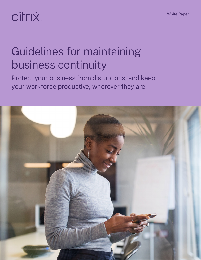# citrix.

## Guidelines for maintaining business continuity

Protect your business from disruptions, and keep your workforce productive, wherever they are

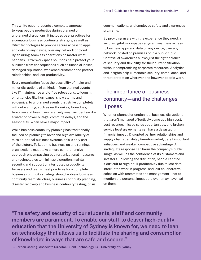This white paper presents a complete approach to keep people productive during planned or unplanned disruptions. It includes best practices for a complete business continuity strategy, as well as Citrix technologies to provide secure access to apps and data on any device, over any network or cloud. By ensuring seamless operations no matter what happens, Citrix Workspace solutions help protect your business from consequences such as financial losses, damaged reputation, weakened customer and partner relationships, and lost productivity.

Every organization faces the possibility of major and minor disruptions of all kinds—from planned events like IT maintenance and office relocations, to looming emergencies like hurricanes, snow storms and epidemics, to unplanned events that strike completely without warning, such as earthquakes, tornadoes, terrorism and fires. Even relatively small incidents—like a water or power outage, commute delays, and the seasonal flu—can have a major impact.

While business continuity planning has traditionally focused on planning failover and high availability of mission-critical business systems, this is only part of the picture. To keep the business up and running, organizations must take a more comprehensive approach encompassing both organizational measures and technologies to minimize disruption, maintain security, and support uninterrupted productivity for users and teams. Best practices for a complete business continuity strategy should address business continuity team structure, business continuity planning, disaster recovery and business continuity testing, crisis

communications, and employee safety and awareness programs.

By providing users with the experience they need, a secure digital workspace can grant seamless access to business apps and data on any device, over any network, hosted on premises or in a public cloud. Contextual awareness allows just the right balance of security and flexibility for their current situation, without compromising corporate resources. Analytics and insights help IT maintain security, compliance, and threat protection wherever and however people work.

## The importance of business continuity—and the challenges it poses

Whether planned or unplanned, business disruptions that aren't managed effectively come at a high cost. Lost revenue, missed sales opportunities, and broken service level agreements can have a devastating financial impact. Disrupted partner relationships and supply chains can delay time-to-market, derail important initiatives, and weaken competitive advantage. An inadequate response can harm the company's public image, as well as the confidence of its customers and investors. Following the disruption, people can find it difficult to regain full productivity due to lost data, interrupted work in progress, and lost collaborative cohesion with teammates and management—not to mention the personal impact the event may have had on them.

**"The safety and security of our students, staff and community members are paramount. To enable our staff to deliver high-quality education that the University of Sydney is known for, we need to lean on technology that allows us to facilitate the sharing and consumption of knowledge in ways that are safe and secure."**

**– Jordan Catling, Associate Director, Client Technology ICT, University of Sydney**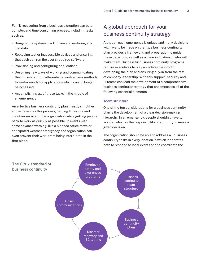For IT, recovering from a business disruption can be a complex and time consuming process, including tasks such as:

- Bringing the systems back online and restoring any lost data
- Replacing lost or inaccessible devices and ensuring that each can run the user's required software
- Provisioning and configuring applications
- Designing new ways of working and communicating them to users, from alternate network access methods to workarounds for applications which can no longer be accessed
- Accomplishing all of these tasks in the middle of an emergency

An effective business continuity plan greatly simplifies and accelerates this process, helping IT restore and maintain service to the organization while getting people back to work as quickly as possible. In events with some advance warning, like a planned office move or anticipated weather emergency, the organization can even prevent their work from being interrupted in the first place.

## A global approach for your business continuity strategy

Although each emergency is unique and many decisions will have to be made on the fly, a business continuity plan provides a framework and preparation to guide these decisions, as well as a clear indication of who will make them. Successful business continuity programs require executives to play an active role in both developing the plan and ensuring buy-in from the rest of company leadership. With this support, security and IT teams can lead the development of a comprehensive business continuity strategy that encompasses all of the following essential elements.

#### Team structure

One of the top considerations for a business continuity plan is the development of a clear decision-making hierarchy. In an emergency, people shouldn't have to wonder who has the responsibility or authority to make a given decision.

The organization should be able to address all business continuity tasks in every location in which it operates both to respond to local events and to coordinate the

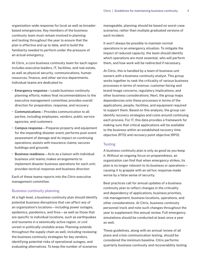organization-wide response for local as well as broaderbased emergencies. Key members of the business continuity team must remain involved in planning and testing throughout the year to ensure that the plan is effective and up to date, and to build the familiarity needed to perform under the pressure of an actual emergency.

At Citrix, a core business continuity team for each region includes executive leaders, IT, facilities, and real estate, as well as physical security, communications, human resources, finance, and other service departments. Individual teams are dedicated to:

- **Emergency response**—Leads business continuity planning efforts; makes final recommendations to the executive management committee; provides overall direction for preparation, response, and recovery
- **Communications**—Provides communication to all parties, including employees, vendors, public service agencies, and customers
- **Campus response**—Prepares property and equipment for the impending disaster event; performs post-event assessment of damage and its impact on continuing operations; assists with insurance claims; secures buildings and grounds
- **Business readiness**—Acts as a liaison with individual business unit teams; makes arrangements to implement disaster business operations for each unit; provides tactical response and business direction

Each of these teams reports into the Citrix executive management committee.

#### Business continuity planning

At a high level, a business continuity plan should identify potential business disruptions that can affect any of an organization's locations—including power outages, epidemics, pandemics, and fires—as well as those that are specific to individual locations, such as earthquakes and tsunamis in a seismically active region, or civil unrest in politically unstable areas. Planning extends throughout the supply chain as well, including reviewing the business continuity strategies for key vendors, identifying potential risks of operational outages, and evaluating alternatives. To keep the number of scenarios

manageable, planning should be based on worst-case scenarios, rather than multiple graduated versions of each incident.

It won't always be possible to maintain normal operations in an emergency situation. To mitigate the impact of reduced capacity, the team should identify which operations are most essential, who will perform them, and how work will be redirected if necessary.

At Citrix, this is handled by a team of business unit owners with a business continuity analyst. This group works together to rank the criticality of various business processes in terms of revenue, customer-facing and brand image concerns, regulatory implications, and other business considerations. Next, the group maps dependencies onto these processes in terms of the applications, people, facilities, and equipment required to support them. Based on this analysis, the group can identify recovery strategies and costs around continuing each process. For IT, this data provides a framework for making sure that critical applications will be available to the business within an established recovery time objective (RTO) and recovery point objective (RPO).

#### **Testing**

A business continuity plan is only as good as you keep it. Without an ongoing focus on preparedness, an organization can find that when emergency strikes, its plan is no longer relevant to its business or operations causing it to grapple with an ad hoc response made worse by a false sense of security.

Best practices call for annual updates of a business continuity plan to reflect changes in the criticality and dependency of applications, business priorities, risk management, business locations, operations, and other considerations. At Citrix, business continuity personnel track and note such changes throughout the year to supplement this annual review. Full emergency simulations should be conducted at least once a year as well.

These guidelines, along with an annual review of all plans and crisis communication testing, should be considered the minimum baseline. Citrix performs quarterly business continuity and recoverability testing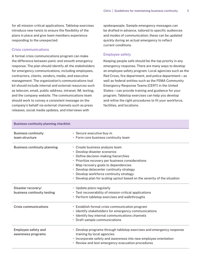for all mission-critical applications. Tabletop exercises introduce new twists to ensure the flexibility of the plans in place and give team members experience responding to the unexpected.

#### Crisis communications

A formal crisis communications program can make the difference between panic and smooth emergency response. The plan should identify all the stakeholders for emergency communications, including employees, contractors, clients, vendors, media, and executive management. The organization's communications tool kit should include internal and external resources such as telecom, email, public address, intranet, IM, texting, and the company website. The communications team should work to convey a consistent message on the company's behalf via external channels such as press releases, social media updates, and interviews with

spokespeople. Sample emergency messages can be drafted in advance, tailored to specific audiences and modes of communication; these can be updated quickly during an actual emergency to reflect current conditions.

#### Employee safety

Keeping people safe should be the top priority in any emergency response. There are many ways to develop an employee safety program. Local agencies such as the Red Cross, fire department, and police department—as well as federal entities such as the FEMA Community Emergency Response Teams (CERT) in the United States—can provide training and guidance for your program. Tabletop exercises can help you develop and refine the right procedures to fit your workforce, facilities, and locations.

| <b>Business continuity planning checklist</b> |  |
|-----------------------------------------------|--|
|-----------------------------------------------|--|

| <b>Business continuity</b><br>team structure      | • Secure executive buy-in<br>• Form core business continuity team                                                                                                                                                                                                                                                                                                       |
|---------------------------------------------------|-------------------------------------------------------------------------------------------------------------------------------------------------------------------------------------------------------------------------------------------------------------------------------------------------------------------------------------------------------------------------|
| Business continuity planning                      | • Create business analysis team<br>• Develop disaster scenarios<br>• Define decision-making hierarchies<br>• Prioritize recovery per business considerations<br>• Map recovery goals to dependencies<br>• Develop datacenter continuity strategy<br>• Develop workforce continuity strategy<br>• Develop plan for scaling up/out based on the severity of the situation |
| Disaster recovery/<br>business continuity testing | • Update plans regularly<br>• Test recoverability of mission-critical applications<br>• Perform tabletop exercises and walkthroughs                                                                                                                                                                                                                                     |
| <b>Crisis communications</b>                      | • Establish formal crisis communication program<br>· Identify stakeholders for emergency communications<br>· Identify key internal communications channels<br>• Draft sample communications                                                                                                                                                                             |
| Employee safety and<br>awareness programs         | • Develop programs through tabletop exercises and emergency response<br>training by local agencies<br>· Incorporate safety and awareness into new employee orientation<br>• Review and test emergency evacuation procedures                                                                                                                                             |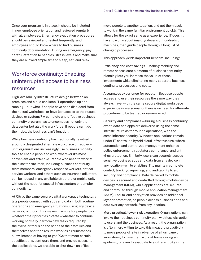Once your program is in place, it should be included in new employee orientation and reviewed regularly with all employees. Emergency evacuation procedures should be reviewed and tested frequently, and employees should know where to find business continuity documentation. During an emergency, pay careful attention to peoples' stress levels and make sure they are allowed ample time to sleep, eat, and relax.

## Workforce continuity: Enabling uninterrupted access to business resources

High-availability infrastructure design between onpremises and cloud can keep IT operations up and running—but what if people have been displaced from their usual workplace, or have lost access to their usual devices or systems? A complete and effective business continuity program has to encompass not only the datacenter but also the workforce. If people can't do their jobs, the business can't function.

While business continuity has traditionally revolved around a designated alternate workplace or recovery unit, organizations increasingly use business mobility tools to enable people to work wherever it's most convenient and effective. People who need to work at the disaster site itself, including business continuity team members, emergency response workers, critical service workers, and others such as insurance adjusters, can be housed in any available structure or mobile unit, without the need for special infrastructure or complex connectivity.

At Citrix, the same secure digital workspace technology lets people connect with apps and data in both routine operations and emergency situations, using any device, network, or cloud. This makes it simple for people to do whatever their priorities dictate—whether to continue working normally, perform new tasks required by the event, or focus on the needs of their families and themselves and then resume work as circumstances allow. Instead of having to get PCs that meet certain specifications, configure them, and provide access to the applications, we are able to shut down an office,

move people to another location, and get them back to work in the same familiar environment quickly. This allows for the exact same user experience. IT doesn't have to worry about imaging dozens or hundreds of machines, then guide people through a long list of changed processes.

This approach yields important benefits, including:

**Efficiency and cost savings**—Making mobility and remote access core elements of business continuity planning lets you increase the value of these investments while eliminating many separate business continuity processes and costs.

**A seamless experience for people**—Because people access and use their resources the same way they always have, with the same secure digital workspace experience in any scenario, there is no need for alternate procedures to be learned or remembered.

**Security and compliance**—During a business continuity event, data and apps are delivered using the same infrastructure as for routine operations, with the same inherent security. Windows applications remain under IT-controlled hybrid cloud infrastructure, where automation and centralized management enhance policy enforcement, regulatory compliance, and antivirus protection. Similarly, users can securely access sensitive business apps and data from any device in any location—while enabling IT to maintain complete control, tracking, reporting, and auditability to aid security and compliance. Data delivered to mobile devices is secured and controlled through mobile device management (MDM), while applications are secured and controlled through mobile application management (MAM). End-to-end encryption provides an additional layer of protection, as people access business apps and data over any network, from any location.

**More practical, lower-risk execution.** Organizations can invoke their business continuity plan with less disruption to users and the business. As a result, the organization is often more willing to take this measure proactively to move people offsite in advance of a hurricane or snowstorm, to have them work at home during an epidemic, or even to evacuate to a different city in the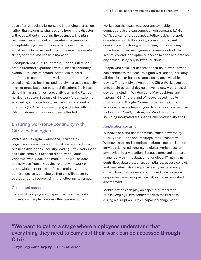case of an especially large-scale impending disruption rather than taking its chances and hoping the disaster will pass without impacting the business. The plan becomes much more effective when it is seen as an acceptable adjustment to circumstances rather than a last resort to be invoked only in the most desperate times, or at the last possible moment.

Headquartered in Ft. Lauderdale, Florida, Citrix has ample firsthand experience with business continuity events. Citrix has relocated individuals to hotel conference rooms, shifted workloads around the world based on closed facilities, and rapidly increased capacity in other areas based on potential disasters. Citrix has done this it many times, especially during the Florida hurricane season. Because of the workforce flexibility enabled by Citrix technologies, services provided both internally (to Citrix team members) and externally (to Citrix customers) have never been affected.

### Ensuring workforce continuity with Citrix technologies

With a secure digital workspace, Citrix helps organizations ensure continuity of operations during business disruptions. Industry-leading Citrix Workspace solutions enable IT to securely deliver all apps— Windows, web, SaaS, and mobile— as well as data and services from any device, over any network or cloud. Citrix supports workforce continuity through comprehensive technologies that simplify security operations and reduce risk in the following key areas.

#### Contextual access

Instead of worrying about special access methods, IT can allow people to access their secure digital

workspace the usual way, over any available connection. Users can connect from company LAN or WAN, consumer broadband, satellite, public hotspot, or mobile—with full security, access control, and compliance monitoring and tracking. Citrix Gateway provides a unified management framework for IT to secure, control, and optimize access to apps and data on any device, using any network or cloud.

People who have lost access to their usual work device can connect to their secure digital workspace, including all their familiar business apps, using any available device. They simply download the Citrix Workspace app onto an old personal device or even a newly purchased device—including Windows and Mac desktops and laptops, iOS, Android and Windows-based mobile products, and Google Chromebooks. Inside Citrix Workspace, users have single-click access to enterprise mobile, web, SaaS, custom, and Windows apps, including integrated file sharing and productivity apps.

#### Application security

Windows app and desktop virtualization powered by Citrix Virtual Apps and Desktops lets IT transform Windows apps and complete desktops into on-demand services delivered securely to digital workspaces on any device, in any location. Because apps and data are managed within the datacenter or cloud, IT maintains centralized data protection, compliance, access control, and user administration just as easily on personally owned, borrowed, or newly purchased devices as on corporate-owned endpoints—within the same unified environment.

Mobile devices can play an especially important role in keeping users connected with the business during a disruption. Citrix Endpoint Management

**"We want to get to a stage where employees understand that everything they need to carry out their work can be accessed through Citrix."**

**– Kyle Edgeworth, Deputy CIO, City of Corona**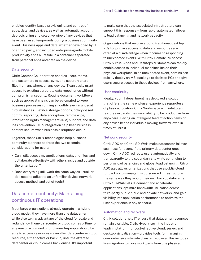enables identity-based provisioning and control of apps, data, and devices, as well as automatic account deprovisioning and selective wipe of any devices that have been used temporarily during a business continuity event. Business apps and data, whether developed by IT or a third party, and included enterprise-grade mobile productivity apps all reside in a container separated from personal apps and data on the device.

#### Data security

Citrix Content Collaboration enables users, teams, and customers to access, sync, and securely share files from anywhere, on any device. IT can easily grant access to existing corporate data repositories without compromising security. Routine document workflows such as approval chains can be automated to keep business processes running smoothly even in unusual circumstances. Flexible storage options, policy-based control, reporting, data encryption, remote wipe, information rights management (IRM) support, and data loss prevention (DLP) integration help keep business content secure when business disruptions occur.

Together, these Citrix technologies help business continuity planners address the two essential considerations for users:

- Can I still access my applications, data, and files, and collaborate effectively with others inside and outside the organization?
- Does everything still work the same way as usual, or do I need to adjust to an unfamiliar device, network access method, and set of tools?

## Datacenter continuity: Maintaining continuous IT operations

Most large organizations already operate in a hybrid cloud model; they have more than one datacenter while also taking advantage of the cloud for scale and redundancy. If one datacenter or cloud comes offline for any reason—planned or unplanned—people should be able to access resources via another datacenter or cloud resource, either active or backup, until the affected datacenter or cloud comes back online. It's important

to make sure that the associated infrastructure can support this response—from rapid, automated failover to load balancing and network capacity.

Organizations that revolve around traditional desktop PCs for primary access to data and resources are often at a disadvantage when it comes to responding to unexpected events. With Citrix Remote PC access, Citrix Virtual Apps and Desktops customers can rapidly enable access to individual machines inside their physical workplace. In an unexpected event, admins can quickly deploy an MSI package to desktop PCs and give users secure access to those devices from anywhere.

#### User continuity

Ideally, your IT department has deployed a solution that offers the same end-user experience regardless of physical location. Citrix Workspace with intelligent features expands the users' ability to be productive from anywhere. Having an intelligent feed of action items on any device keeps individuals moving forward, even in times of unrest.

#### Network security

Citrix ADC and Citrix SD-WAN make datacenter failover seamless for users. If the primary datacenter goes down, Citrix ADC redirects users automatically and transparently to the secondary site while continuing to perform load balancing and global load balancing. Citrix ADC also allows organizations that use a public cloud for backup to manage this outsourced infrastructure the same way they would their own backup datacenter. Citrix SD-WAN lets IT connect and accelerate applications, optimize bandwidth utilization across third-party public cloud and private networks, and gain visibility into application performance to optimize the user experience in any scenario.

#### Automation and recovery

Citrix solutions help IT ensure that datacenter resources remain available. Citrix Hypervisor—the industryleading platform for cost-effective cloud, server, and desktop virtualization—provides tools for managing comprehensive sitewide disaster recovery. This includes live migration to move workloads from one physical